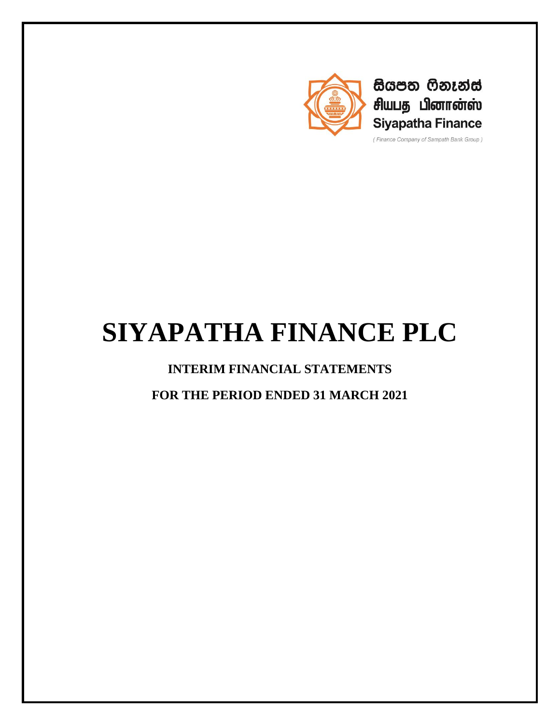

සියපත ෆිනෑන්ස් சியபத பினான்ஸ் **Siyapatha Finance** 

(Finance Company of Sampath Bank Group)

# **SIYAPATHA FINANCE PLC**

# **INTERIM FINANCIAL STATEMENTS**

**FOR THE PERIOD ENDED 31 MARCH 2021**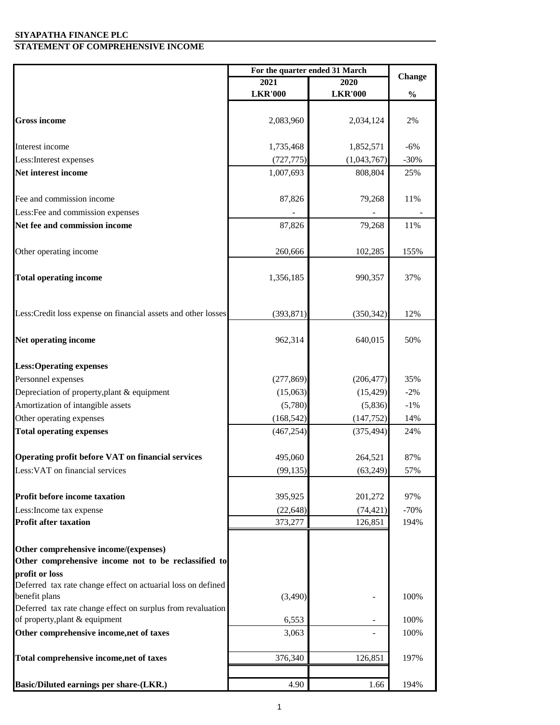#### **SIYAPATHA FINANCE PLC STATEMENT OF COMPREHENSIVE INCOME**

|                                                                              | For the quarter ended 31 March |                |               |
|------------------------------------------------------------------------------|--------------------------------|----------------|---------------|
|                                                                              | 2021                           | 2020           | <b>Change</b> |
|                                                                              | <b>LKR'000</b>                 | <b>LKR'000</b> | $\frac{0}{0}$ |
|                                                                              |                                |                |               |
| <b>Gross income</b>                                                          | 2,083,960                      | 2,034,124      | 2%            |
|                                                                              |                                |                |               |
| Interest income                                                              | 1,735,468                      | 1,852,571      | $-6%$         |
| Less: Interest expenses                                                      | (727, 775)                     | (1,043,767)    | $-30%$        |
| Net interest income                                                          | 1,007,693                      | 808,804        | 25%           |
|                                                                              |                                |                |               |
| Fee and commission income                                                    | 87,826                         | 79,268         | 11%           |
| Less: Fee and commission expenses                                            |                                |                |               |
| Net fee and commission income                                                | 87,826                         | 79,268         | 11%           |
|                                                                              |                                |                |               |
| Other operating income                                                       | 260,666                        | 102,285        | 155%          |
|                                                                              |                                |                |               |
| <b>Total operating income</b>                                                | 1,356,185                      | 990,357        | 37%           |
|                                                                              |                                |                |               |
|                                                                              |                                |                |               |
| Less: Credit loss expense on financial assets and other losses               | (393, 871)                     | (350, 342)     | 12%           |
|                                                                              |                                |                |               |
| Net operating income                                                         | 962,314                        | 640,015        | 50%           |
|                                                                              |                                |                |               |
| <b>Less:Operating expenses</b>                                               |                                |                |               |
| Personnel expenses                                                           | (277, 869)                     | (206, 477)     | 35%           |
| Depreciation of property, plant & equipment                                  | (15,063)                       | (15, 429)      | $-2\%$        |
| Amortization of intangible assets                                            | (5,780)                        | (5,836)        | $-1\%$        |
| Other operating expenses                                                     | (168, 542)                     | (147, 752)     | 14%           |
| <b>Total operating expenses</b>                                              | (467, 254)                     | (375, 494)     | 24%           |
|                                                                              |                                |                |               |
| Operating profit before VAT on financial services                            | 495,060                        | 264,521        | 87%           |
| Less: VAT on financial services                                              | (99, 135)                      | (63,249)       | 57%           |
|                                                                              |                                |                |               |
| <b>Profit before income taxation</b>                                         | 395,925                        | 201,272        | 97%           |
| Less: Income tax expense                                                     | (22, 648)                      | (74, 421)      | $-70%$        |
| <b>Profit after taxation</b>                                                 | 373,277                        | 126,851        | 194%          |
|                                                                              |                                |                |               |
| Other comprehensive income/(expenses)                                        |                                |                |               |
| Other comprehensive income not to be reclassified to                         |                                |                |               |
| profit or loss                                                               |                                |                |               |
| Deferred tax rate change effect on actuarial loss on defined                 |                                |                |               |
| benefit plans<br>Deferred tax rate change effect on surplus from revaluation | (3,490)                        |                | 100%          |
| of property, plant & equipment                                               | 6,553                          |                | 100%          |
| Other comprehensive income, net of taxes                                     | 3,063                          |                | 100%          |
|                                                                              |                                |                |               |
| Total comprehensive income, net of taxes                                     | 376,340                        | 126,851        | 197%          |
|                                                                              |                                |                |               |
| Basic/Diluted earnings per share-(LKR.)                                      | 4.90                           | 1.66           | 194%          |
|                                                                              |                                |                |               |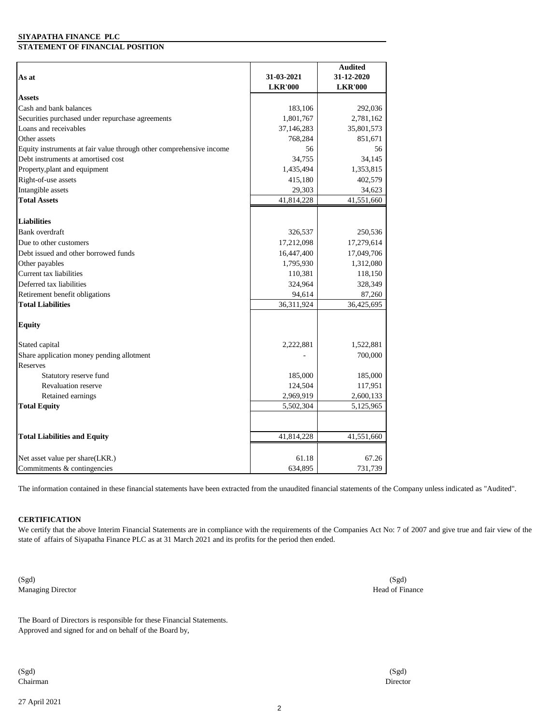#### **SIYAPATHA FINANCE PLC**

#### **STATEMENT OF FINANCIAL POSITION**

|                                                                     |                | <b>Audited</b> |
|---------------------------------------------------------------------|----------------|----------------|
| As at                                                               | 31-03-2021     | 31-12-2020     |
|                                                                     | <b>LKR'000</b> | <b>LKR'000</b> |
| <b>Assets</b>                                                       |                |                |
| Cash and bank balances                                              | 183,106        | 292,036        |
| Securities purchased under repurchase agreements                    | 1,801,767      | 2,781,162      |
| Loans and receivables                                               | 37,146,283     | 35,801,573     |
| Other assets                                                        | 768,284        | 851,671        |
| Equity instruments at fair value through other comprehensive income | 56             | 56             |
| Debt instruments at amortised cost                                  | 34,755         | 34,145         |
| Property, plant and equipment                                       | 1,435,494      | 1,353,815      |
| Right-of-use assets                                                 | 415,180        | 402,579        |
| Intangible assets                                                   | 29,303         | 34,623         |
| <b>Total Assets</b>                                                 | 41,814,228     | 41,551,660     |
|                                                                     |                |                |
| <b>Liabilities</b>                                                  |                |                |
| Bank overdraft                                                      | 326,537        | 250,536        |
| Due to other customers                                              | 17,212,098     | 17,279,614     |
| Debt issued and other borrowed funds                                | 16,447,400     | 17,049,706     |
| Other payables                                                      | 1,795,930      | 1,312,080      |
| Current tax liabilities                                             | 110,381        | 118,150        |
| Deferred tax liabilities                                            | 324,964        | 328,349        |
| Retirement benefit obligations                                      | 94,614         | 87,260         |
| <b>Total Liabilities</b>                                            | 36,311,924     | 36,425,695     |
|                                                                     |                |                |
| <b>Equity</b>                                                       |                |                |
| Stated capital                                                      | 2,222,881      | 1,522,881      |
| Share application money pending allotment                           |                | 700,000        |
| Reserves                                                            |                |                |
| Statutory reserve fund                                              | 185,000        | 185,000        |
| <b>Revaluation reserve</b>                                          | 124,504        | 117,951        |
| Retained earnings                                                   | 2,969,919      | 2,600,133      |
| <b>Total Equity</b>                                                 | 5,502,304      | 5,125,965      |
|                                                                     |                |                |
| <b>Total Liabilities and Equity</b>                                 | 41,814,228     | 41,551,660     |
|                                                                     |                |                |
| Net asset value per share(LKR.)                                     | 61.18          | 67.26          |
| Commitments & contingencies                                         | 634,895        | 731,739        |

The information contained in these financial statements have been extracted from the unaudited financial statements of the Company unless indicated as "Audited".

#### **CERTIFICATION**

We certify that the above Interim Financial Statements are in compliance with the requirements of the Companies Act No: 7 of 2007 and give true and fair view of the state of affairs of Siyapatha Finance PLC as at 31 March 2021 and its profits for the period then ended.

(Sgd) Managing Director

Approved and signed for and on behalf of the Board by, The Board of Directors is responsible for these Financial Statements.

(Sgd) Chairman

27 April 2021

(Sgd) Director

(Sgd) Head of Finance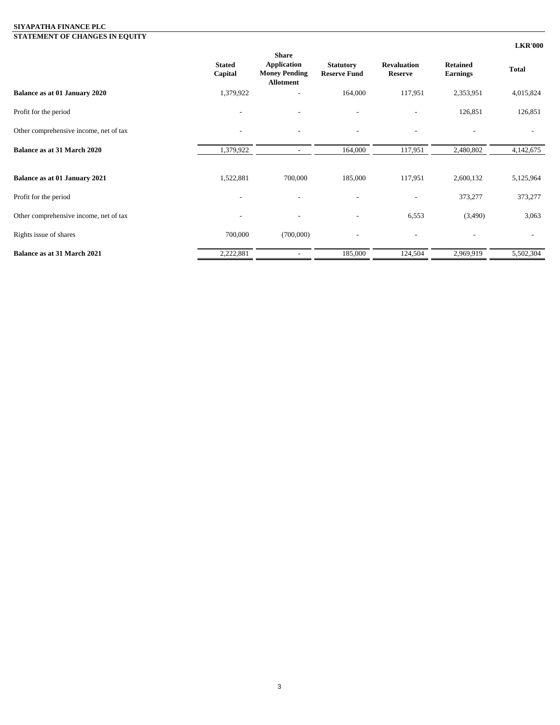#### **SIYAPATHA FINANCE PLC STATEMENT OF CHANGES IN EQUITY**

|                                        |                          |                                                                                |                                         |                                      |                                    | <b>LKR'000</b> |
|----------------------------------------|--------------------------|--------------------------------------------------------------------------------|-----------------------------------------|--------------------------------------|------------------------------------|----------------|
|                                        | <b>Stated</b><br>Capital | <b>Share</b><br><b>Application</b><br><b>Money Pending</b><br><b>Allotment</b> | <b>Statutory</b><br><b>Reserve Fund</b> | <b>Revaluation</b><br><b>Reserve</b> | <b>Retained</b><br><b>Earnings</b> | <b>Total</b>   |
| Balance as at 01 January 2020          | 1,379,922                |                                                                                | 164,000                                 | 117,951                              | 2,353,951                          | 4,015,824      |
| Profit for the period                  |                          |                                                                                | $\overline{\phantom{a}}$                |                                      | 126,851                            | 126,851        |
| Other comprehensive income, net of tax |                          | $\overline{\phantom{a}}$                                                       | $\overline{\phantom{a}}$                |                                      |                                    |                |
| <b>Balance as at 31 March 2020</b>     | 1,379,922                | $\overline{\phantom{a}}$                                                       | 164,000                                 | 117,951                              | 2,480,802                          | 4,142,675      |
| Balance as at 01 January 2021          | 1,522,881                | 700,000                                                                        | 185,000                                 | 117,951                              | 2,600,132                          | 5,125,964      |
| Profit for the period                  | $\overline{\phantom{a}}$ | $\qquad \qquad -$                                                              | $\overline{a}$                          |                                      | 373,277                            | 373,277        |
| Other comprehensive income, net of tax |                          |                                                                                |                                         | 6,553                                | (3,490)                            | 3,063          |
| Rights issue of shares                 | 700,000                  | (700,000)                                                                      | $\overline{a}$                          | $\overline{\phantom{a}}$             |                                    |                |
| <b>Balance as at 31 March 2021</b>     | 2,222,881                |                                                                                | 185,000                                 | 124,504                              | 2,969,919                          | 5,502,304      |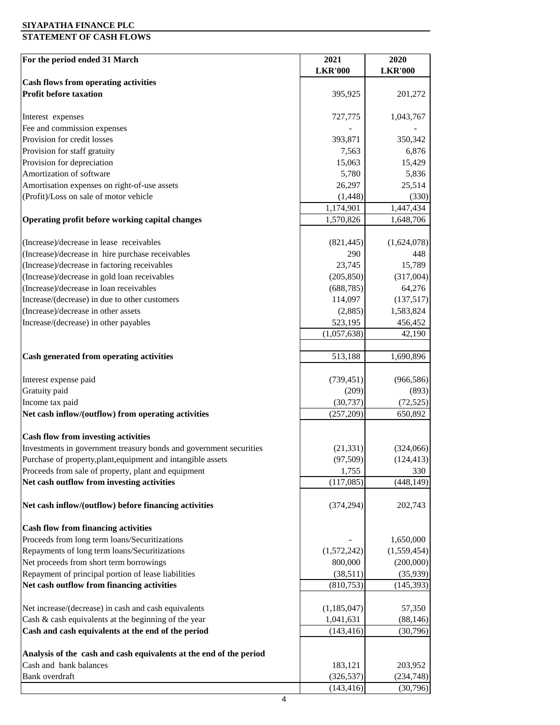#### **SIYAPATHA FINANCE PLC**

## **STATEMENT OF CASH FLOWS**

| For the period ended 31 March                                      | 2021           | 2020           |
|--------------------------------------------------------------------|----------------|----------------|
|                                                                    | <b>LKR'000</b> | <b>LKR'000</b> |
| <b>Cash flows from operating activities</b>                        |                |                |
| <b>Profit before taxation</b>                                      | 395,925        | 201,272        |
|                                                                    |                |                |
| Interest expenses                                                  | 727,775        | 1,043,767      |
| Fee and commission expenses                                        |                |                |
| Provision for credit losses                                        | 393,871        | 350,342        |
| Provision for staff gratuity                                       | 7,563          | 6,876          |
| Provision for depreciation                                         | 15,063         | 15,429         |
| Amortization of software                                           | 5,780          | 5,836          |
| Amortisation expenses on right-of-use assets                       | 26,297         | 25,514         |
| (Profit)/Loss on sale of motor vehicle                             | (1, 448)       | (330)          |
|                                                                    | 1,174,901      | 1,447,434      |
| Operating profit before working capital changes                    | 1,570,826      | 1,648,706      |
| (Increase)/decrease in lease receivables                           | (821, 445)     | (1,624,078)    |
| (Increase)/decrease in hire purchase receivables                   | 290            | 448            |
| (Increase)/decrease in factoring receivables                       | 23,745         | 15,789         |
| (Increase)/decrease in gold loan receivables                       | (205, 850)     | (317,004)      |
| (Increase)/decrease in loan receivables                            | (688, 785)     | 64,276         |
| Increase/(decrease) in due to other customers                      | 114,097        | (137,517)      |
| (Increase)/decrease in other assets                                | (2,885)        | 1,583,824      |
| Increase/(decrease) in other payables                              | 523,195        | 456,452        |
|                                                                    | (1,057,638)    | 42,190         |
|                                                                    |                |                |
| Cash generated from operating activities                           | 513,188        | 1,690,896      |
| Interest expense paid                                              | (739, 451)     | (966, 586)     |
| Gratuity paid                                                      | (209)          | (893)          |
| Income tax paid                                                    | (30, 737)      | (72, 525)      |
| Net cash inflow/(outflow) from operating activities                | (257, 209)     | 650,892        |
|                                                                    |                |                |
| <b>Cash flow from investing activities</b>                         |                |                |
| Investments in government treasury bonds and government securities | (21, 331)      | (324,066)      |
| Purchase of property, plant, equipment and intangible assets       | (97, 509)      | (124, 413)     |
| Proceeds from sale of property, plant and equipment                | 1,755          | 330            |
| Net cash outflow from investing activities                         | (117,085)      | (448, 149)     |
|                                                                    |                |                |
| Net cash inflow/(outflow) before financing activities              | (374, 294)     | 202,743        |
| <b>Cash flow from financing activities</b>                         |                |                |
| Proceeds from long term loans/Securitizations                      |                | 1,650,000      |
| Repayments of long term loans/Securitizations                      | (1,572,242)    | (1,559,454)    |
| Net proceeds from short term borrowings                            | 800,000        | (200,000)      |
| Repayment of principal portion of lease liabilities                | (38,511)       | (35,939)       |
| Net cash outflow from financing activities                         | (810, 753)     | (145, 393)     |
|                                                                    |                |                |
| Net increase/(decrease) in cash and cash equivalents               | (1, 185, 047)  | 57,350         |
| Cash & cash equivalents at the beginning of the year               | 1,041,631      | (88, 146)      |
| Cash and cash equivalents at the end of the period                 | (143, 416)     | (30,796)       |
|                                                                    |                |                |
| Analysis of the cash and cash equivalents at the end of the period |                |                |
| Cash and bank balances                                             | 183,121        | 203,952        |
| Bank overdraft                                                     | (326, 537)     | (234, 748)     |
|                                                                    | (143, 416)     | (30,796)       |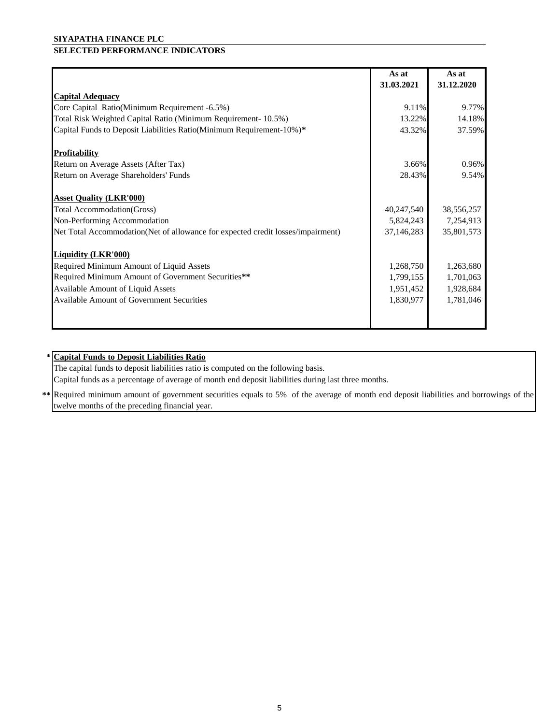#### **SIYAPATHA FINANCE PLC**

## **SELECTED PERFORMANCE INDICATORS**

|                                                                                 | As at      | As at      |
|---------------------------------------------------------------------------------|------------|------------|
|                                                                                 | 31.03.2021 | 31.12.2020 |
| <b>Capital Adequacy</b>                                                         |            |            |
| Core Capital Ratio(Minimum Requirement -6.5%)                                   | 9.11%      | 9.77%      |
| Total Risk Weighted Capital Ratio (Minimum Requirement- 10.5%)                  | 13.22%     | 14.18%     |
| Capital Funds to Deposit Liabilities Ratio(Minimum Requirement-10%)*            | 43.32%     | 37.59%     |
| <b>Profitability</b>                                                            |            |            |
| Return on Average Assets (After Tax)                                            | 3.66%      | 0.96%      |
| Return on Average Shareholders' Funds                                           | 28.43%     | 9.54%      |
| <b>Asset Quality (LKR'000)</b>                                                  |            |            |
| Total Accommodation(Gross)                                                      | 40,247,540 | 38,556,257 |
| Non-Performing Accommodation                                                    | 5,824,243  | 7,254,913  |
| Net Total Accommodation(Net of allowance for expected credit losses/impairment) | 37,146,283 | 35,801,573 |
| <b>Liquidity (LKR'000)</b>                                                      |            |            |
| Required Minimum Amount of Liquid Assets                                        | 1,268,750  | 1,263,680  |
| Required Minimum Amount of Government Securities**                              | 1,799,155  | 1,701,063  |
| Available Amount of Liquid Assets                                               | 1,951,452  | 1,928,684  |
| <b>Available Amount of Government Securities</b>                                | 1,830,977  | 1,781,046  |
|                                                                                 |            |            |

### **\* Capital Funds to Deposit Liabilities Ratio**

The capital funds to deposit liabilities ratio is computed on the following basis.

Capital funds as a percentage of average of month end deposit liabilities during last three months.

**\*\*** Required minimum amount of government securities equals to 5% of the average of month end deposit liabilities and borrowings of the twelve months of the preceding financial year.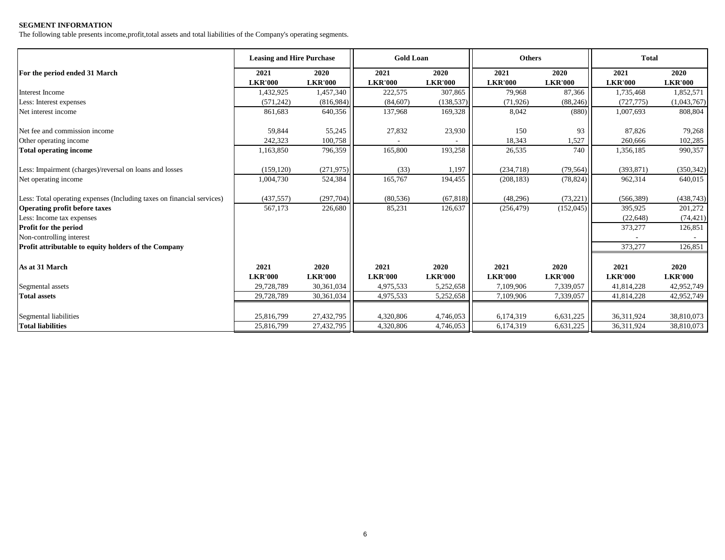#### **SEGMENT INFORMATION**

The following table presents income,profit,total assets and total liabilities of the Company's operating segments.

|                                                                        | <b>Leasing and Hire Purchase</b> |                        | <b>Gold Loan</b>       |                        | <b>Others</b>          |                        | <b>Total</b>           |                        |
|------------------------------------------------------------------------|----------------------------------|------------------------|------------------------|------------------------|------------------------|------------------------|------------------------|------------------------|
| For the period ended 31 March                                          | 2021<br><b>LKR'000</b>           | 2020<br><b>LKR'000</b> | 2021<br><b>LKR'000</b> | 2020<br><b>LKR'000</b> | 2021<br><b>LKR'000</b> | 2020<br><b>LKR'000</b> | 2021<br><b>LKR'000</b> | 2020<br><b>LKR'000</b> |
| Interest Income                                                        | 1,432,925                        | 1,457,340              | 222,575                | 307.865                | 79,968                 | 87,366                 | 1,735,468              | 1,852,571              |
| Less: Interest expenses                                                | (571, 242)                       | (816,984)              | (84, 607)              | (138, 537)             | (71, 926)              | (88, 246)              | (727, 775)             | (1,043,767)            |
| Net interest income                                                    | 861,683                          | 640,356                | 137,968                | 169,328                | 8,042                  | (880)                  | 1,007,693              | 808,804                |
| Net fee and commission income                                          | 59,844                           | 55,245                 | 27,832                 | 23,930                 | 150                    | 93                     | 87,826                 | 79,268                 |
| Other operating income                                                 | 242,323                          | 100,758                |                        |                        | 18,343                 | 1,527                  | 260,666                | 102,285                |
| <b>Total operating income</b>                                          | 1,163,850                        | 796,359                | 165,800                | 193,258                | 26,535                 | 740                    | 1,356,185              | 990,357                |
| Less: Impairment (charges)/reversal on loans and losses                | (159, 120)                       | (271, 975)             | (33)                   | 1,197                  | (234,718)              | (79, 564)              | (393, 871)             | (350, 342)             |
| Net operating income                                                   | 1,004,730                        | 524,384                | 165,767                | 194,455                | (208, 183)             | (78, 824)              | 962,314                | 640,015                |
| Less: Total operating expenses (Including taxes on financial services) | (437, 557)                       | (297,704)              | (80, 536)              | (67, 818)              | (48,296)               | (73, 221)              | (566, 389)             | (438, 743)             |
| <b>Operating profit before taxes</b>                                   | 567,173                          | 226,680                | 85,231                 | 126,637                | (256, 479)             | (152, 045)             | 395,925                | 201,272                |
| Less: Income tax expenses                                              |                                  |                        |                        |                        |                        |                        | (22, 648)              | (74, 421)              |
| <b>Profit for the period</b>                                           |                                  |                        |                        |                        |                        |                        | 373,277                | 126,851                |
| Non-controlling interest                                               |                                  |                        |                        |                        |                        |                        |                        |                        |
| <b>Profit attributable to equity holders of the Company</b>            |                                  |                        |                        |                        |                        |                        | 373,277                | 126,851                |
| As at 31 March                                                         | 2021                             | 2020                   | 2021                   | 2020                   | 2021                   | 2020                   | 2021                   | 2020                   |
|                                                                        | <b>LKR'000</b>                   | <b>LKR'000</b>         | <b>LKR'000</b>         | <b>LKR'000</b>         | <b>LKR'000</b>         | <b>LKR'000</b>         | <b>LKR'000</b>         | <b>LKR'000</b>         |
| Segmental assets                                                       | 29,728,789                       | 30,361,034             | 4,975,533              | 5,252,658              | 7.109.906              | 7,339,057              | 41,814,228             | 42,952,749             |
| <b>Total assets</b>                                                    | 29,728,789                       | 30,361,034             | 4,975,533              | 5,252,658              | 7,109,906              | 7,339,057              | 41,814,228             | 42,952,749             |
| <b>Segmental liabilities</b>                                           | 25,816,799                       | 27,432,795             | 4,320,806              | 4,746,053              | 6,174,319              | 6,631,225              | 36,311,924             | 38,810,073             |
| <b>Total liabilities</b>                                               | 25,816,799                       | 27,432,795             | 4,320,806              | 4,746,053              | 6,174,319              | 6,631,225              | 36,311,924             | 38,810,073             |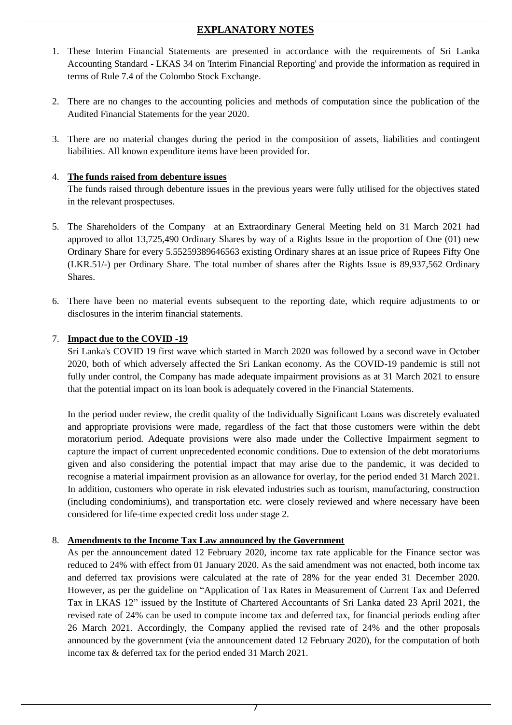# **EXPLANATORY NOTES**

- 1. These Interim Financial Statements are presented in accordance with the requirements of Sri Lanka Accounting Standard - LKAS 34 on 'Interim Financial Reporting' and provide the information as required in terms of Rule 7.4 of the Colombo Stock Exchange.
- 2. There are no changes to the accounting policies and methods of computation since the publication of the Audited Financial Statements for the year 2020.
- 3. There are no material changes during the period in the composition of assets, liabilities and contingent liabilities. All known expenditure items have been provided for.

### 4. **The funds raised from debenture issues**

The funds raised through debenture issues in the previous years were fully utilised for the objectives stated in the relevant prospectuses.

- 5. The Shareholders of the Company at an Extraordinary General Meeting held on 31 March 2021 had approved to allot 13,725,490 Ordinary Shares by way of a Rights Issue in the proportion of One (01) new Ordinary Share for every 5.55259389646563 existing Ordinary shares at an issue price of Rupees Fifty One (LKR.51/-) per Ordinary Share. The total number of shares after the Rights Issue is 89,937,562 Ordinary Shares.
- 6. There have been no material events subsequent to the reporting date, which require adjustments to or disclosures in the interim financial statements.

#### 7. **Impact due to the COVID -19**

Sri Lanka's COVID 19 first wave which started in March 2020 was followed by a second wave in October 2020, both of which adversely affected the Sri Lankan economy. As the COVID-19 pandemic is still not fully under control, the Company has made adequate impairment provisions as at 31 March 2021 to ensure that the potential impact on its loan book is adequately covered in the Financial Statements.

In the period under review, the credit quality of the Individually Significant Loans was discretely evaluated and appropriate provisions were made, regardless of the fact that those customers were within the debt moratorium period. Adequate provisions were also made under the Collective Impairment segment to capture the impact of current unprecedented economic conditions. Due to extension of the debt moratoriums given and also considering the potential impact that may arise due to the pandemic, it was decided to recognise a material impairment provision as an allowance for overlay, for the period ended 31 March 2021. In addition, customers who operate in risk elevated industries such as tourism, manufacturing, construction (including condominiums), and transportation etc. were closely reviewed and where necessary have been considered for life-time expected credit loss under stage 2.

### 8. **Amendments to the Income Tax Law announced by the Government**

As per the announcement dated 12 February 2020, income tax rate applicable for the Finance sector was reduced to 24% with effect from 01 January 2020. As the said amendment was not enacted, both income tax and deferred tax provisions were calculated at the rate of 28% for the year ended 31 December 2020. However, as per the guideline on "Application of Tax Rates in Measurement of Current Tax and Deferred Tax in LKAS 12" issued by the Institute of Chartered Accountants of Sri Lanka dated 23 April 2021, the revised rate of 24% can be used to compute income tax and deferred tax, for financial periods ending after 26 March 2021. Accordingly, the Company applied the revised rate of 24% and the other proposals announced by the government (via the announcement dated 12 February 2020), for the computation of both income tax & deferred tax for the period ended 31 March 2021.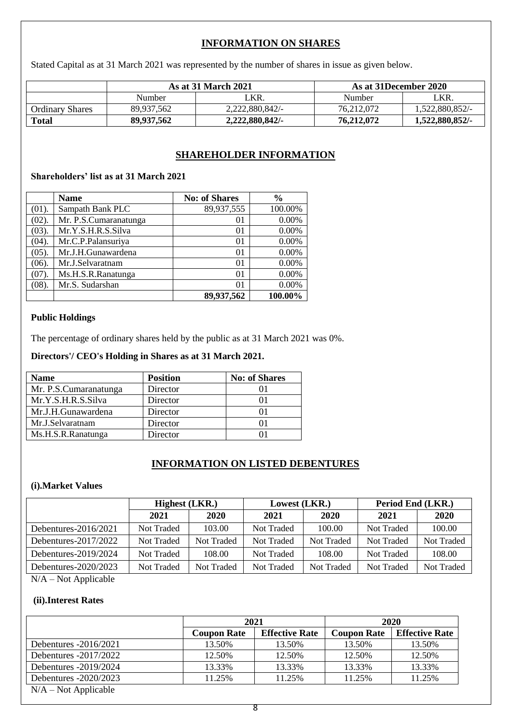# **INFORMATION ON SHARES**

Stated Capital as at 31 March 2021 was represented by the number of shares in issue as given below.

|                        |            | <b>As at 31 March 2021</b> |            | As at 31December 2020 |
|------------------------|------------|----------------------------|------------|-----------------------|
|                        | Number     | LKR.                       | Number     | '_KR.                 |
| <b>Ordinary Shares</b> | 89.937.562 | 2,222,880,842/-            | 76.212.072 | 1.522.880.852/-       |
| <b>Total</b>           | 89,937,562 | 2.222.880.842/-            | 76,212,072 | 1.522.880.852/-       |

## **SHAREHOLDER INFORMATION**

## **Shareholders' list as at 31 March 2021**

|       | <b>Name</b>           | <b>No: of Shares</b> | $\frac{6}{9}$ |
|-------|-----------------------|----------------------|---------------|
| (01). | Sampath Bank PLC      | 89,937,555           | 100.00%       |
| (02). | Mr. P.S.Cumaranatunga | 01                   | 0.00%         |
| (03). | Mr.Y.S.H.R.S.Silva    | 01                   | 0.00%         |
| (04). | Mr.C.P.Palansuriya    | 01                   | 0.00%         |
| (05). | Mr.J.H.Gunawardena    | 0 <sub>1</sub>       | 0.00%         |
| (06). | Mr.J.Selvaratnam      | 0 <sub>1</sub>       | 0.00%         |
| (07). | Ms.H.S.R.Ranatunga    | $\Omega$             | 0.00%         |
| (08). | Mr.S. Sudarshan       | $\Omega$             | 0.00%         |
|       |                       | 89,937,562           | 100.00%       |

#### **Public Holdings**

The percentage of ordinary shares held by the public as at 31 March 2021 was 0%.

### **Directors'/ CEO's Holding in Shares as at 31 March 2021.**

| <b>Name</b>           | <b>Position</b> | <b>No: of Shares</b> |
|-----------------------|-----------------|----------------------|
| Mr. P.S.Cumaranatunga | Director        |                      |
| Mr.Y.S.H.R.S.Silva    | Director        |                      |
| Mr.J.H.Gunawardena    | Director        |                      |
| Mr.J.Selvaratnam      | Director        | 01                   |
| Ms.H.S.R.Ranatunga    | Director        |                      |

### **INFORMATION ON LISTED DEBENTURES**

### **(i).Market Values**

|                      | <b>Highest</b> (LKR.) |            | Lowest (LKR.) |                   | Period End (LKR.) |            |  |
|----------------------|-----------------------|------------|---------------|-------------------|-------------------|------------|--|
|                      | 2021                  | 2020       | 2021          | 2020              | 2021              | 2020       |  |
| Debentures-2016/2021 | Not Traded            | 103.00     | Not Traded    | 100.00            | Not Traded        | 100.00     |  |
| Debentures-2017/2022 | Not Traded            | Not Traded | Not Traded    | <b>Not Traded</b> | Not Traded        | Not Traded |  |
| Debentures-2019/2024 | Not Traded            | 108.00     | Not Traded    | 108.00            | Not Traded        | 108.00     |  |
| Debentures-2020/2023 | <b>Not Traded</b>     | Not Traded | Not Traded    | <b>Not Traded</b> | Not Traded        | Not Traded |  |

N/A – Not Applicable

## **(ii).Interest Rates**

|                         |                    | 2021                  | 2020               |                       |  |
|-------------------------|--------------------|-----------------------|--------------------|-----------------------|--|
|                         | <b>Coupon Rate</b> | <b>Effective Rate</b> | <b>Coupon Rate</b> | <b>Effective Rate</b> |  |
| Debentures $-2016/2021$ | 13.50%             | 13.50%                | 13.50%             | 13.50%                |  |
| Debentures $-2017/2022$ | 12.50%             | 12.50%                | 12.50%             | 12.50%                |  |
| Debentures -2019/2024   | 13.33%             | 13.33%                | 13.33%             | 13.33%                |  |
| Debentures -2020/2023   | 11.25%             | 11.25%                | 11.25%             | 11.25%                |  |
| $N/A - Not Applicable$  |                    |                       |                    |                       |  |